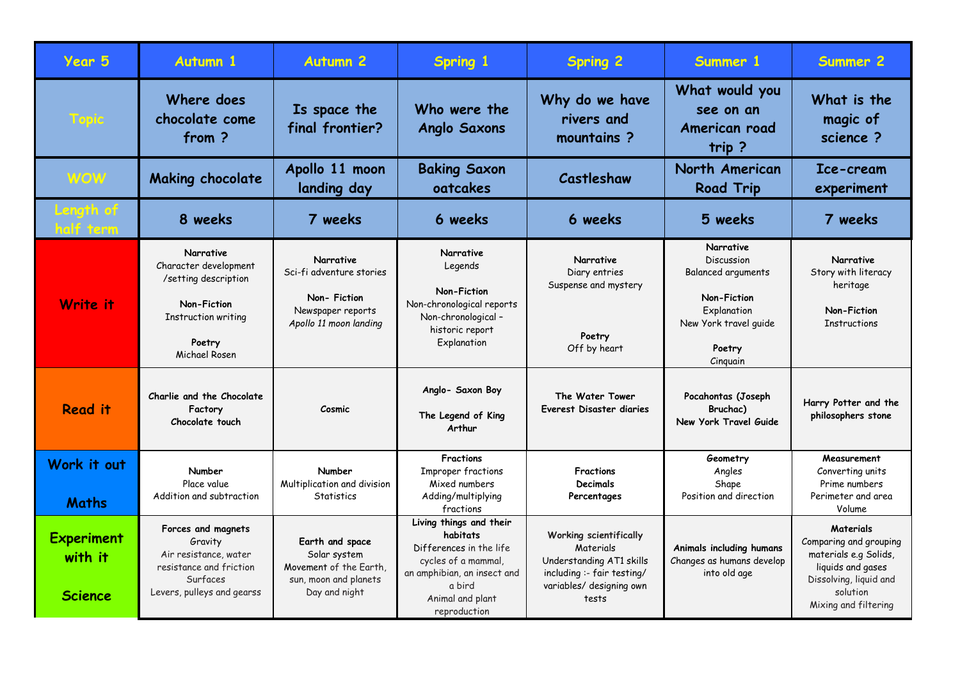| Year 5                                         | <b>Autumn 1</b>                                                                                                             | <b>Autumn 2</b>                                                                                     | Spring 1                                                                                                                                                           | <b>Spring 2</b>                                                                                                                    | Summer 1                                                                                                                   | Summer 2                                                                                                                                               |
|------------------------------------------------|-----------------------------------------------------------------------------------------------------------------------------|-----------------------------------------------------------------------------------------------------|--------------------------------------------------------------------------------------------------------------------------------------------------------------------|------------------------------------------------------------------------------------------------------------------------------------|----------------------------------------------------------------------------------------------------------------------------|--------------------------------------------------------------------------------------------------------------------------------------------------------|
| Topic                                          | Where does<br>chocolate come<br>from?                                                                                       | Is space the<br>final frontier?                                                                     | Who were the<br><b>Anglo Saxons</b>                                                                                                                                | Why do we have<br>rivers and<br>mountains?                                                                                         | What would you<br>see on an<br>American road<br>trip?                                                                      | What is the<br>magic of<br>science ?                                                                                                                   |
| WOW                                            | <b>Making chocolate</b>                                                                                                     | Apollo 11 moon<br>landing day                                                                       | <b>Baking Saxon</b><br>oatcakes                                                                                                                                    | Castleshaw                                                                                                                         | North American<br><b>Road Trip</b>                                                                                         | Ice-cream<br>experiment                                                                                                                                |
| Length of<br>ialf term                         | 8 weeks                                                                                                                     | 7 weeks                                                                                             | 6 weeks                                                                                                                                                            | 6 weeks                                                                                                                            | 5 weeks                                                                                                                    | 7 weeks                                                                                                                                                |
| Write it                                       | Narrative<br>Character development<br>/setting description<br>Non-Fiction<br>Instruction writing<br>Poetry<br>Michael Rosen | Narrative<br>Sci-fi adventure stories<br>Non-Fiction<br>Newspaper reports<br>Apollo 11 moon landing | Narrative<br>Legends<br>Non-Fiction<br>Non-chronological reports<br>Non-chronological -<br>historic report<br>Explanation<br>Anglo- Saxon Boy                      | Narrative<br>Diary entries<br>Suspense and mystery<br>Poetry<br>Off by heart                                                       | Narrative<br>Discussion<br>Balanced arguments<br>Non-Fiction<br>Explanation<br>New York travel guide<br>Poetry<br>Cinguain | Narrative<br>Story with literacy<br>heritage<br>Non-Fiction<br><b>Instructions</b>                                                                     |
| <b>Read it</b>                                 | Charlie and the Chocolate<br>Factory<br>Chocolate touch                                                                     | Cosmic                                                                                              | The Legend of King<br>Arthur                                                                                                                                       | The Water Tower<br>Everest Disaster diaries                                                                                        | Pocahontas (Joseph<br>Bruchac)<br>New York Travel Guide                                                                    | Harry Potter and the<br>philosophers stone                                                                                                             |
| Work it out<br><b>Maths</b>                    | Number<br>Place value<br>Addition and subtraction                                                                           | Number<br>Multiplication and division<br>Statistics                                                 | <b>Fractions</b><br>Improper fractions<br>Mixed numbers<br>Adding/multiplying<br>fractions                                                                         | Fractions<br><b>Decimals</b><br>Percentages                                                                                        | Geometry<br>Angles<br>Shape<br>Position and direction                                                                      | Measurement<br>Converting units<br>Prime numbers<br>Perimeter and area<br>Volume                                                                       |
| <b>Experiment</b><br>with it<br><b>Science</b> | Forces and magnets<br>Gravity<br>Air resistance, water<br>resistance and friction<br>Surfaces<br>Levers, pulleys and gearss | Earth and space<br>Solar system<br>Movement of the Earth,<br>sun, moon and planets<br>Day and night | Living things and their<br>habitats<br>Differences in the life<br>cycles of a mammal,<br>an amphibian, an insect and<br>a bird<br>Animal and plant<br>reproduction | Working scientifically<br>Materials<br>Understanding AT1 skills<br>including :- fair testing/<br>variables/ designing own<br>tests | Animals including humans<br>Changes as humans develop<br>into old age                                                      | <b>Materials</b><br>Comparing and grouping<br>materials e.g Solids,<br>liquids and gases<br>Dissolving, liquid and<br>solution<br>Mixing and filtering |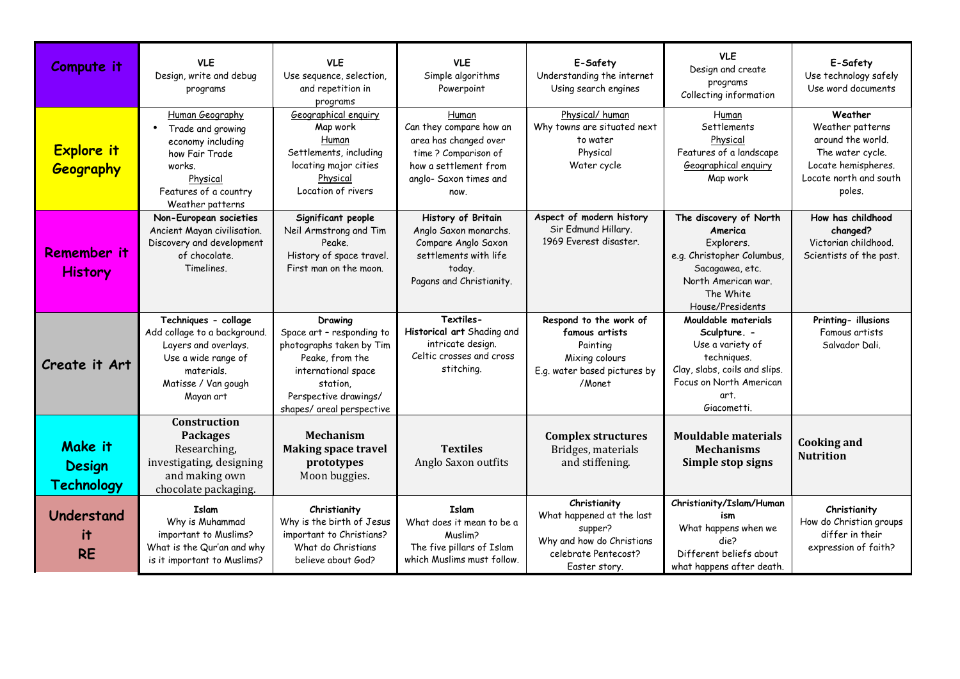| Compute it                                           | <b>VLE</b><br>Design, write and debug<br>programs                                                                                                           | <b>VLE</b><br>Use sequence, selection,<br>and repetition in<br>programs                                                                                                      | <b>VLE</b><br>Simple algorithms<br>Powerpoint                                                                                                | E-Safety<br>Understanding the internet<br>Using search engines                                                             | <b>VLE</b><br>Design and create<br>programs<br>Collecting information                                                                                     | E-Safety<br>Use technology safely<br>Use word documents                                                                         |
|------------------------------------------------------|-------------------------------------------------------------------------------------------------------------------------------------------------------------|------------------------------------------------------------------------------------------------------------------------------------------------------------------------------|----------------------------------------------------------------------------------------------------------------------------------------------|----------------------------------------------------------------------------------------------------------------------------|-----------------------------------------------------------------------------------------------------------------------------------------------------------|---------------------------------------------------------------------------------------------------------------------------------|
| <b>Explore it</b><br>Geography                       | Human Geography<br>Trade and growing<br>$\bullet$<br>economy including<br>how Fair Trade<br>works.<br>Physical<br>Features of a country<br>Weather patterns | Geographical enguiry<br>Map work<br>Human<br>Settlements, including<br>locating major cities<br>Physical<br>Location of rivers                                               | Human<br>Can they compare how an<br>area has changed over<br>time ? Comparison of<br>how a settlement from<br>anglo- Saxon times and<br>now. | Physical/human<br>Why towns are situated next<br>to water<br>Physical<br>Water cycle                                       | Human<br>Settlements<br>Physical<br>Features of a landscape<br>Geographical enguiry<br>Map work                                                           | Weather<br>Weather patterns<br>around the world.<br>The water cycle.<br>Locate hemispheres.<br>Locate north and south<br>poles. |
| Remember it<br><b>History</b>                        | Non-European societies<br>Ancient Mayan civilisation.<br>Discovery and development<br>of chocolate.<br>Timelines.                                           | Significant people<br>Neil Armstrong and Tim<br>Peake.<br>History of space travel.<br>First man on the moon.                                                                 | History of Britain<br>Anglo Saxon monarchs.<br>Compare Anglo Saxon<br>settlements with life<br>today.<br>Pagans and Christianity.            | Aspect of modern history<br>Sir Edmund Hillary.<br>1969 Everest disaster.                                                  | The discovery of North<br>America<br>Explorers.<br>e.g. Christopher Columbus,<br>Sacagawea, etc.<br>North American war.<br>The White<br>House/Presidents  | How has childhood<br>changed?<br>Victorian childhood.<br>Scientists of the past.                                                |
| Create it Art                                        | Techniques - collage<br>Add collage to a background.<br>Layers and overlays.<br>Use a wide range of<br>materials.<br>Matisse / Van gough<br>Mayan art       | Drawing<br>Space art - responding to<br>photographs taken by Tim<br>Peake, from the<br>international space<br>station,<br>Perspective drawings/<br>shapes/ areal perspective | Textiles-<br>Historical art Shading and<br>intricate design.<br>Celtic crosses and cross<br>stitching.                                       | Respond to the work of<br>famous artists<br>Painting<br>Mixing colours<br>E.g. water based pictures by<br>/Monet           | Mouldable materials<br>Sculpture. -<br>Use a variety of<br>techniques.<br>Clay, slabs, coils and slips.<br>Focus on North American<br>art.<br>Giacometti. | Printing- illusions<br>Famous artists<br>Salvador Dali.                                                                         |
| <b>Make it</b><br><b>Design</b><br><b>Technology</b> | Construction<br><b>Packages</b><br>Researching,<br>investigating, designing<br>and making own<br>chocolate packaging.                                       | <b>Mechanism</b><br><b>Making space travel</b><br>prototypes<br>Moon buggies.                                                                                                | <b>Textiles</b><br>Anglo Saxon outfits                                                                                                       | <b>Complex structures</b><br>Bridges, materials<br>and stiffening.                                                         | <b>Mouldable materials</b><br><b>Mechanisms</b><br>Simple stop signs                                                                                      | <b>Cooking and</b><br><b>Nutrition</b>                                                                                          |
| Understand<br>it<br><b>RE</b>                        | <b>Islam</b><br>Why is Muhammad<br>important to Muslims?<br>What is the Qur'an and why<br>is it important to Muslims?                                       | Christianity<br>Why is the birth of Jesus<br>important to Christians?<br>What do Christians<br>believe about God?                                                            | Islam<br>What does it mean to be a<br>Muslim?<br>The five pillars of Islam<br>which Muslims must follow.                                     | Christianity<br>What happened at the last<br>supper?<br>Why and how do Christians<br>celebrate Pentecost?<br>Easter story. | Christianity/Islam/Human<br>ism<br>What happens when we<br>die2<br>Different beliefs about<br>what happens after death.                                   | Christianity<br>How do Christian groups<br>differ in their<br>expression of faith?                                              |